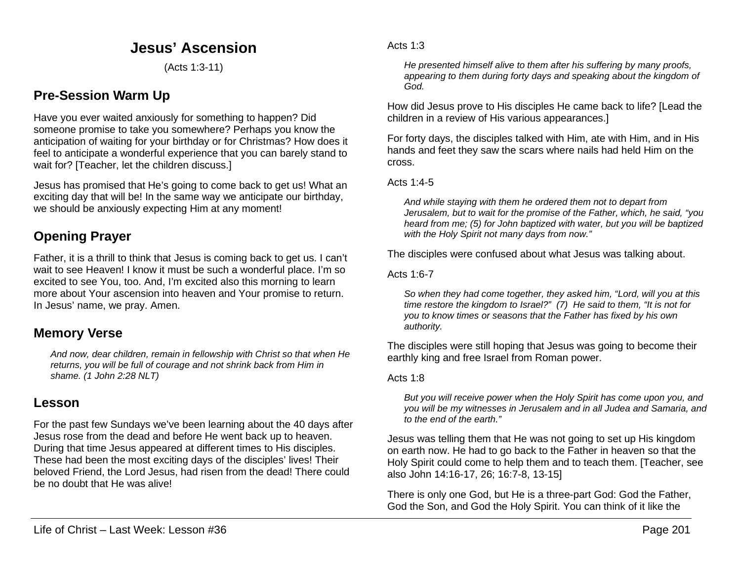# **Jesus' Ascension**

(Acts 1:3-11)

# **Pre-Session Warm Up**

Have you ever waited anxiously for something to happen? Did someone promise to take you somewhere? Perhaps you know the anticipation of waiting for your birthday or for Christmas? How does it feel to anticipate a wonderful experience that you can barely stand to wait for? [Teacher, let the children discuss.]

Jesus has promised that He's going to come back to get us! What an exciting day that will be! In the same way we anticipate our birthday, we should be anxiously expecting Him at any moment!

# **Opening Prayer**

Father, it is a thrill to think that Jesus is coming back to get us. I can't wait to see Heaven! I know it must be such a wonderful place. I'm so excited to see You, too. And, I'm excited also this morning to learn more about Your ascension into heaven and Your promise to return. In Jesus' name, we pray. Amen.

### **Memory Verse**

*And now, dear children, remain in fellowship with Christ so that when He returns, you will be full of courage and not shrink back from Him in shame. (1 John 2:28 NLT)*

### **Lesson**

For the past few Sundays we've been learning about the 40 days after Jesus rose from the dead and before He went back up to heaven. During that time Jesus appeared at different times to His disciples. These had been the most exciting days of the disciples' lives! Their beloved Friend, the Lord Jesus, had risen from the dead! There could be no doubt that He was alive!

Acts 1:3

*He presented himself alive to them after his suffering by many proofs, appearing to them during forty days and speaking about the kingdom of God.*

How did Jesus prove to His disciples He came back to life? [Lead the children in a review of His various appearances.]

For forty days, the disciples talked with Him, ate with Him, and in His hands and feet they saw the scars where nails had held Him on the cross.

Acts 1:4-5

*And while staying with them he ordered them not to depart from Jerusalem, but to wait for the promise of the Father, which, he said, "you heard from me; (5) for John baptized with water, but you will be baptized with the Holy Spirit not many days from now."*

The disciples were confused about what Jesus was talking about.

Acts 1:6-7

*So when they had come together, they asked him, "Lord, will you at this time restore the kingdom to Israel?" (7) He said to them, "It is not for you to know times or seasons that the Father has fixed by his own authority.*

The disciples were still hoping that Jesus was going to become their earthly king and free Israel from Roman power.

Acts 1:8

*But you will receive power when the Holy Spirit has come upon you, and you will be my witnesses in Jerusalem and in all Judea and Samaria, and to the end of the earth."*

Jesus was telling them that He was not going to set up His kingdom on earth now. He had to go back to the Father in heaven so that the Holy Spirit could come to help them and to teach them. [Teacher, see also John 14:16-17, 26; 16:7-8, 13-15]

There is only one God, but He is a three-part God: God the Father, God the Son, and God the Holy Spirit. You can think of it like the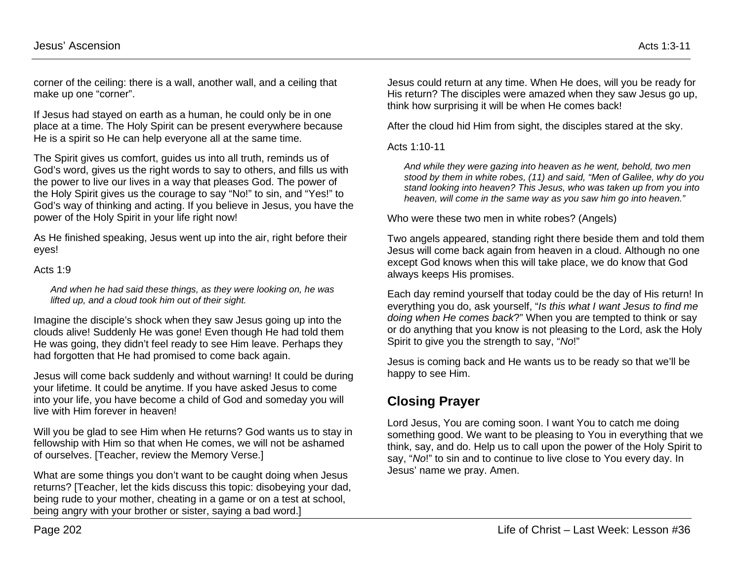corner of the ceiling: there is a wall, another wall, and a ceiling that make up one "corner".

If Jesus had stayed on earth as a human, he could only be in one place at a time. The Holy Spirit can be present everywhere because He is a spirit so He can help everyone all at the same time.

The Spirit gives us comfort, guides us into all truth, reminds us of God's word, gives us the right words to say to others, and fills us with the power to live our lives in a way that pleases God. The power of the Holy Spirit gives us the courage to say "No!" to sin, and "Yes!" to God's way of thinking and acting. If you believe in Jesus, you have the power of the Holy Spirit in your life right now!

As He finished speaking, Jesus went up into the air, right before their eyes!

#### Acts 1:9

*And when he had said these things, as they were looking on, he was lifted up, and a cloud took him out of their sight.*

Imagine the disciple's shock when they saw Jesus going up into the clouds alive! Suddenly He was gone! Even though He had told them He was going, they didn't feel ready to see Him leave. Perhaps they had forgotten that He had promised to come back again.

Jesus will come back suddenly and without warning! It could be during your lifetime. It could be anytime. If you have asked Jesus to come into your life, you have become a child of God and someday you will live with Him forever in heaven!

Will you be glad to see Him when He returns? God wants us to stay in fellowship with Him so that when He comes, we will not be ashamed of ourselves. [Teacher, review the Memory Verse.]

What are some things you don't want to be caught doing when Jesus returns? [Teacher, let the kids discuss this topic: disobeying your dad, being rude to your mother, cheating in a game or on a test at school, being angry with your brother or sister, saying a bad word.]

Jesus could return at any time. When He does, will you be ready for His return? The disciples were amazed when they saw Jesus go up, think how surprising it will be when He comes back!

After the cloud hid Him from sight, the disciples stared at the sky.

#### Acts 1:10-11

*And while they were gazing into heaven as he went, behold, two men stood by them in white robes, (11) and said, "Men of Galilee, why do you stand looking into heaven? This Jesus, who was taken up from you into heaven, will come in the same way as you saw him go into heaven."*

Who were these two men in white robes? (Angels)

Two angels appeared, standing right there beside them and told them Jesus will come back again from heaven in a cloud. Although no one except God knows when this will take place, we do know that God always keeps His promises.

Each day remind yourself that today could be the day of His return! In everything you do, ask yourself, "*Is this what I want Jesus to find me doing when He comes back*?" When you are tempted to think or say or do anything that you know is not pleasing to the Lord, ask the Holy Spirit to give you the strength to say, "*No*!"

Jesus is coming back and He wants us to be ready so that we'll be happy to see Him.

# **Closing Prayer**

Lord Jesus, You are coming soon. I want You to catch me doing something good. We want to be pleasing to You in everything that we think, say, and do. Help us to call upon the power of the Holy Spirit to say, "*No*!" to sin and to continue to live close to You every day. In Jesus' name we pray. Amen.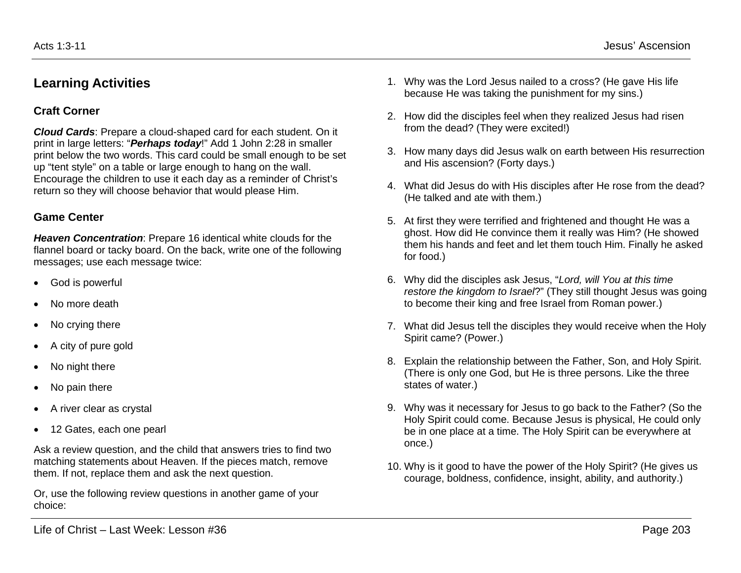### **Learning Activities**

#### **Craft Corner**

*Cloud Cards*: Prepare a cloud-shaped card for each student. On it print in large letters: "*Perhaps today*!" Add 1 John 2:28 in smaller print below the two words. This card could be small enough to be set up "tent style" on a table or large enough to hang on the wall. Encourage the children to use it each day as a reminder of Christ's return so they will choose behavior that would please Him.

#### **Game Center**

*Heaven Concentration*: Prepare 16 identical white clouds for the flannel board or tacky board. On the back, write one of the following messages; use each message twice:

- God is powerful
- No more death
- No crying there
- A city of pure gold
- No night there
- No pain there
- A river clear as crystal
- 12 Gates, each one pearl

Ask a review question, and the child that answers tries to find two matching statements about Heaven. If the pieces match, remove them. If not, replace them and ask the next question.

Or, use the following review questions in another game of your choice:

- 1. Why was the Lord Jesus nailed to a cross? (He gave His life because He was taking the punishment for my sins.)
- 2. How did the disciples feel when they realized Jesus had risen from the dead? (They were excited!)
- 3. How many days did Jesus walk on earth between His resurrection and His ascension? (Forty days.)
- 4. What did Jesus do with His disciples after He rose from the dead? (He talked and ate with them.)
- 5. At first they were terrified and frightened and thought He was a ghost. How did He convince them it really was Him? (He showed them his hands and feet and let them touch Him. Finally he asked for food.)
- 6. Why did the disciples ask Jesus, "*Lord, will You at this time restore the kingdom to Israel*?" (They still thought Jesus was going to become their king and free Israel from Roman power.)
- 7. What did Jesus tell the disciples they would receive when the Holy Spirit came? (Power.)
- 8. Explain the relationship between the Father, Son, and Holy Spirit. (There is only one God, but He is three persons. Like the three states of water.)
- 9. Why was it necessary for Jesus to go back to the Father? (So the Holy Spirit could come. Because Jesus is physical, He could only be in one place at a time. The Holy Spirit can be everywhere at once.)
- 10. Why is it good to have the power of the Holy Spirit? (He gives us courage, boldness, confidence, insight, ability, and authority.)